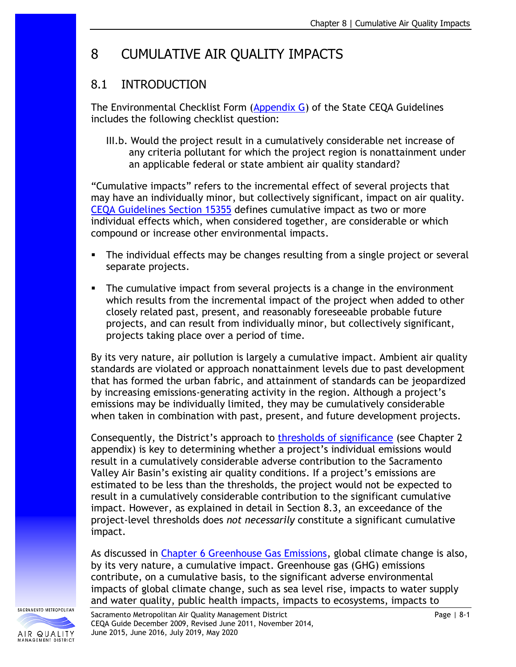# 8 CUMULATIVE AIR QUALITY IMPACTS

# 8.1 INTRODUCTION

The Environmental Checklist Form [\(Appendix G\)](http://califaep.org/docs/2019-Appendix_G_Checklist.pdf) of the State CEQA Guidelines includes the following checklist question:

III.b. Would the project result in a cumulatively considerable net increase of any criteria pollutant for which the project region is nonattainment under an applicable federal or state ambient air quality standard?

"Cumulative impacts" refers to the incremental effect of several projects that may have an individually minor, but collectively significant, impact on air quality. CEQA Guidelines [Section 15355](https://resources.ca.gov/About-Us/Legal/CEQA-Supplemental-Documents) defines cumulative impact as two or more individual effects which, when considered together, are considerable or which compound or increase other environmental impacts.

- **•** The individual effects may be changes resulting from a single project or several separate projects.
- The cumulative impact from several projects is a change in the environment which results from the incremental impact of the project when added to other closely related past, present, and reasonably foreseeable probable future projects, and can result from individually minor, but collectively significant, projects taking place over a period of time.

By its very nature, air pollution is largely a cumulative impact. Ambient air quality standards are violated or approach nonattainment levels due to past development that has formed the urban fabric, and attainment of standards can be jeopardized by increasing emissions-generating activity in the region. Although a project's emissions may be individually limited, they may be cumulatively considerable when taken in combination with past, present, and future development projects.

Consequently, the District's approach to [thresholds of significance](http://www.airquality.org/Businesses/CEQA-Land-Use-Planning/CEQA-Guidance-Tools) (see Chapter 2 appendix) is key to determining whether a project's individual emissions would result in a cumulatively considerable adverse contribution to the Sacramento Valley Air Basin's existing air quality conditions. If a project's emissions are estimated to be less than the thresholds, the project would not be expected to result in a cumulatively considerable contribution to the significant cumulative impact. However, as explained in detail in Section 8.3, an exceedance of the project-level thresholds does *not necessarily* constitute a significant cumulative impact.

As discussed in Chapter 6 [Greenhouse Gas Emissions,](http://www.airquality.org/Businesses/CEQA-Land-Use-Planning/CEQA-Guidance-Tools) global climate change is also, by its very nature, a cumulative impact. Greenhouse gas (GHG) emissions contribute, on a cumulative basis, to the significant adverse environmental impacts of global climate change, such as sea level rise, impacts to water supply and water quality, public health impacts, impacts to ecosystems, impacts to

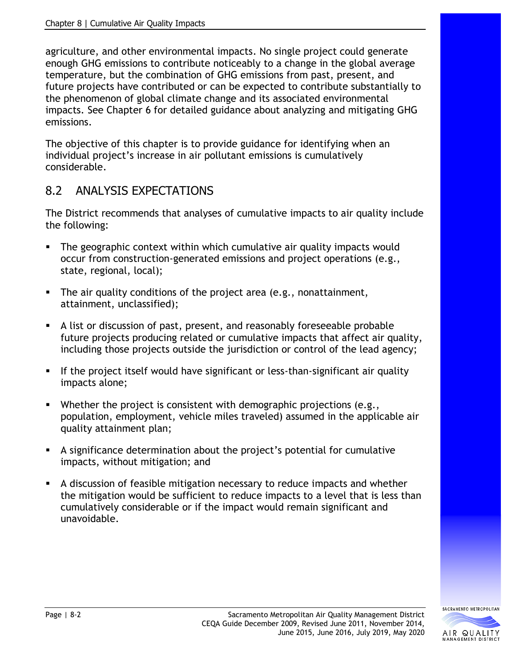agriculture, and other environmental impacts. No single project could generate enough GHG emissions to contribute noticeably to a change in the global average temperature, but the combination of GHG emissions from past, present, and future projects have contributed or can be expected to contribute substantially to the phenomenon of global climate change and its associated environmental impacts. See Chapter 6 for detailed guidance about analyzing and mitigating GHG emissions.

The objective of this chapter is to provide guidance for identifying when an individual project's increase in air pollutant emissions is cumulatively considerable.

# 8.2 ANALYSIS EXPECTATIONS

The District recommends that analyses of cumulative impacts to air quality include the following:

- The geographic context within which cumulative air quality impacts would occur from construction-generated emissions and project operations (e.g., state, regional, local);
- The air quality conditions of the project area (e.g., nonattainment, attainment, unclassified);
- A list or discussion of past, present, and reasonably foreseeable probable future projects producing related or cumulative impacts that affect air quality, including those projects outside the jurisdiction or control of the lead agency;
- **EXT** If the project itself would have significant or less-than-significant air quality impacts alone;
- **•** Whether the project is consistent with demographic projections (e.g., population, employment, vehicle miles traveled) assumed in the applicable air quality attainment plan;
- A significance determination about the project's potential for cumulative impacts, without mitigation; and
- A discussion of feasible mitigation necessary to reduce impacts and whether the mitigation would be sufficient to reduce impacts to a level that is less than cumulatively considerable or if the impact would remain significant and unavoidable.

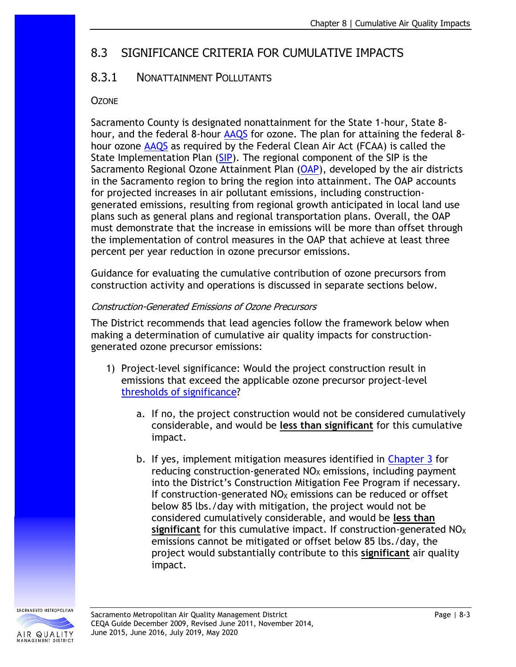# 8.3 SIGNIFICANCE CRITERIA FOR CUMULATIVE IMPACTS

### 8.3.1 NONATTAINMENT POLLUTANTS

#### **OZONE**

Sacramento County is designated nonattainment for the State 1-hour, State 8- hour, and the federal 8-hour [AAQS](http://www.arb.ca.gov/research/aaqs/aaqs2.pdf) for ozone. The plan for attaining the federal 8hour ozone [AAQS](http://www.arb.ca.gov/research/aaqs/aaqs2.pdf) as required by the Federal Clean Air Act (FCAA) is called the State Implementation Plan [\(SIP\)](http://www.arb.ca.gov/planning/sip/sip.htm). The regional component of the SIP is the Sacramento Regional Ozone Attainment Plan [\(OAP\)](http://www.airquality.org/air-quality-health/air-quality-plans), developed by the air districts in the Sacramento region to bring the region into attainment. The OAP accounts for projected increases in air pollutant emissions, including constructiongenerated emissions, resulting from regional growth anticipated in local land use plans such as general plans and regional transportation plans. Overall, the OAP must demonstrate that the increase in emissions will be more than offset through the implementation of control measures in the OAP that achieve at least three percent per year reduction in ozone precursor emissions.

Guidance for evaluating the cumulative contribution of ozone precursors from construction activity and operations is discussed in separate sections below.

#### Construction-Generated Emissions of Ozone Precursors

The District recommends that lead agencies follow the framework below when making a determination of cumulative air quality impacts for constructiongenerated ozone precursor emissions:

- 1) Project-level significance: Would the project construction result in emissions that exceed the applicable ozone precursor project-level [thresholds of significance?](http://www.airquality.org/Businesses/CEQA-Land-Use-Planning/CEQA-Guidance-Tools)
	- a. If no, the project construction would not be considered cumulatively considerable, and would be **less than significant** for this cumulative impact.
	- b. If yes, implement mitigation measures identified in [Chapter 3](http://www.airquality.org/Businesses/CEQA-Land-Use-Planning/CEQA-Guidance-Tools) for reducing construction-generated  $NO<sub>X</sub>$  emissions, including payment into the District's Construction Mitigation Fee Program if necessary. If construction-generated  $NO<sub>X</sub>$  emissions can be reduced or offset below 85 lbs./day with mitigation, the project would not be considered cumulatively considerable, and would be **less than significant** for this cumulative impact. If construction-generated NO<sub>X</sub> emissions cannot be mitigated or offset below 85 lbs./day, the project would substantially contribute to this **significant** air quality impact.

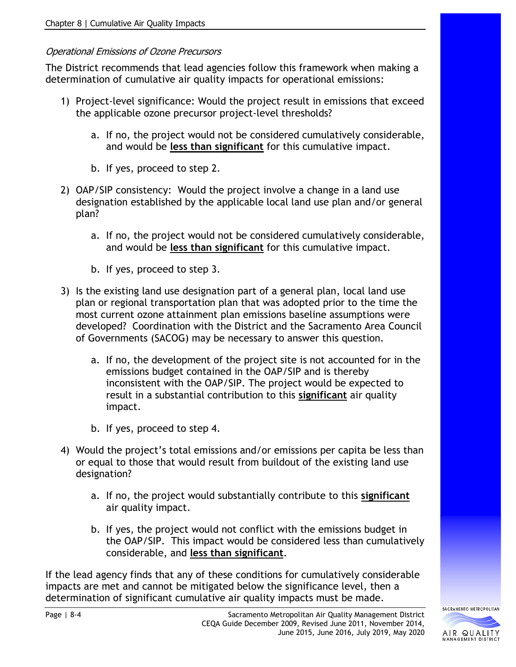#### Operational Emissions of Ozone Precursors

The District recommends that lead agencies follow this framework when making a determination of cumulative air quality impacts for operational emissions:

- 1) Project-level significance: Would the project result in emissions that exceed the applicable ozone precursor project-level thresholds?
	- a. If no, the project would not be considered cumulatively considerable, and would be **less than significant** for this cumulative impact.
	- b. If yes, proceed to step 2.
- 2) OAP/SIP consistency: Would the project involve a change in a land use designation established by the applicable local land use plan and/or general plan?
	- a. If no, the project would not be considered cumulatively considerable, and would be **less than significant** for this cumulative impact.
	- b. If yes, proceed to step 3.
- 3) Is the existing land use designation part of a general plan, local land use plan or regional transportation plan that was adopted prior to the time the most current ozone attainment plan emissions baseline assumptions were developed? Coordination with the District and the Sacramento Area Council of Governments (SACOG) may be necessary to answer this question.
	- a. If no, the development of the project site is not accounted for in the emissions budget contained in the OAP/SIP and is thereby inconsistent with the OAP/SIP. The project would be expected to result in a substantial contribution to this **significant** air quality impact.
	- b. If yes, proceed to step 4.
- 4) Would the project's total emissions and/or emissions per capita be less than or equal to those that would result from buildout of the existing land use designation?
	- a. If no, the project would substantially contribute to this **significant** air quality impact.
	- b. If yes, the project would not conflict with the emissions budget in the OAP/SIP. This impact would be considered less than cumulatively considerable, and **less than significant**.

If the lead agency finds that any of these conditions for cumulatively considerable impacts are met and cannot be mitigated below the significance level, then a determination of significant cumulative air quality impacts must be made.

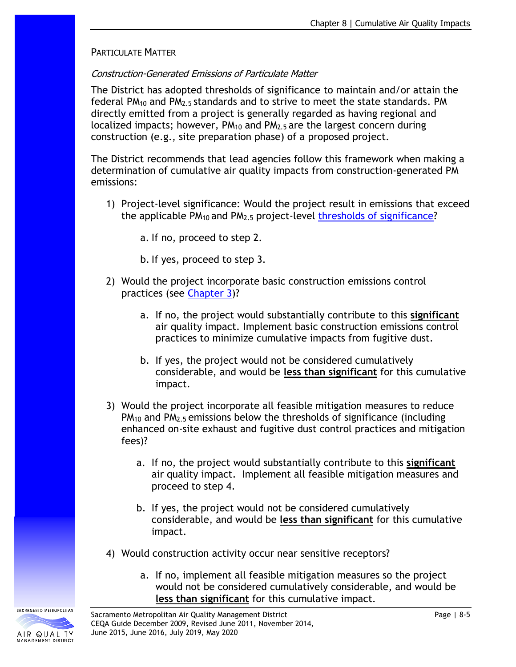#### PARTICULATE MATTER

#### Construction-Generated Emissions of Particulate Matter

The District has adopted thresholds of significance to maintain and/or attain the federal  $PM_{10}$  and  $PM_{2.5}$  standards and to strive to meet the state standards. PM directly emitted from a project is generally regarded as having regional and localized impacts; however,  $PM_{10}$  and  $PM_{2.5}$  are the largest concern during construction (e.g., site preparation phase) of a proposed project.

The District recommends that lead agencies follow this framework when making a determination of cumulative air quality impacts from construction-generated PM emissions:

1) Project-level significance: Would the project result in emissions that exceed the applicable PM10 and PM2.5 project-level [thresholds of significance?](http://www.airquality.org/Businesses/CEQA-Land-Use-Planning/CEQA-Guidance-Tools)

a. If no, proceed to step 2.

b. If yes, proceed to step 3.

- 2) Would the project incorporate basic construction emissions control practices (see [Chapter 3\)](http://www.airquality.org/Businesses/CEQA-Land-Use-Planning/CEQA-Guidance-Tools)?
	- a. If no, the project would substantially contribute to this **significant** air quality impact. Implement basic construction emissions control practices to minimize cumulative impacts from fugitive dust.
	- b. If yes, the project would not be considered cumulatively considerable, and would be **less than significant** for this cumulative impact.
- 3) Would the project incorporate all feasible mitigation measures to reduce PM<sup>10</sup> and PM2.5 emissions below the thresholds of significance (including enhanced on-site exhaust and fugitive dust control practices and mitigation fees)?
	- a. If no, the project would substantially contribute to this **significant** air quality impact. Implement all feasible mitigation measures and proceed to step 4.
	- b. If yes, the project would not be considered cumulatively considerable, and would be **less than significant** for this cumulative impact.
- 4) Would construction activity occur near sensitive receptors?
	- a. If no, implement all feasible mitigation measures so the project would not be considered cumulatively considerable, and would be **less than significant** for this cumulative impact.



SACRAMENTO METROPOLITAN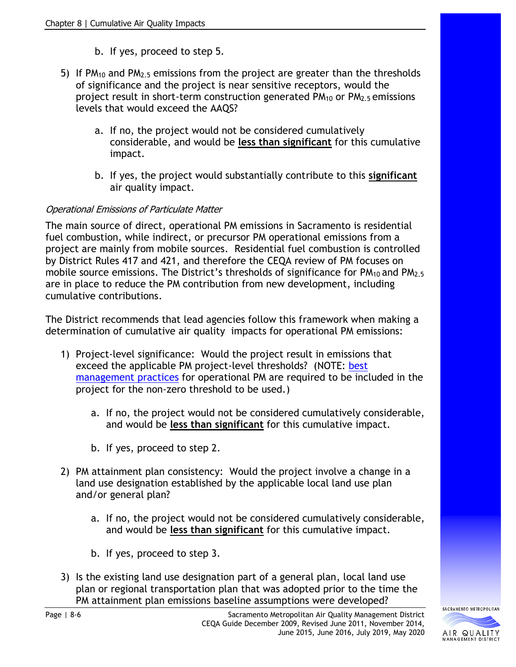- b. If yes, proceed to step 5.
- 5) If PM<sub>10</sub> and PM<sub>2.5</sub> emissions from the project are greater than the thresholds of significance and the project is near sensitive receptors, would the project result in short-term construction generated  $PM<sub>10</sub>$  or  $PM<sub>2.5</sub>$  emissions levels that would exceed the AAQS?
	- a. If no, the project would not be considered cumulatively considerable, and would be **less than significant** for this cumulative impact.
	- b. If yes, the project would substantially contribute to this **significant** air quality impact.

#### Operational Emissions of Particulate Matter

The main source of direct, operational PM emissions in Sacramento is residential fuel combustion, while indirect, or precursor PM operational emissions from a project are mainly from mobile sources. Residential fuel combustion is controlled by [District Rules 417 and 421,](http://www.airquality.org/rules/index.shtml) and therefore the CEQA review of PM focuses on mobile source emissions. The District's thresholds of significance for  $PM_{10}$  and  $PM_{2.5}$ are in place to reduce the PM contribution from new development, including cumulative contributions.

The District recommends that lead agencies follow this framework when making a determination of cumulative air quality impacts for operational PM emissions:

- 1) Project-level significance: Would the project result in emissions that exceed the applicable PM project-level thresholds? (NOTE: best [management practices](http://www.airquality.org/Businesses/CEQA-Land-Use-Planning/CEQA-Guidance-Tools) for operational PM are required to be included in the project for the non-zero threshold to be used.)
	- a. If no, the project would not be considered cumulatively considerable, and would be **less than significant** for this cumulative impact.
	- b. If yes, proceed to step 2.
- 2) PM attainment plan consistency: Would the project involve a change in a land use designation established by the applicable local land use plan and/or general plan?
	- a. If no, the project would not be considered cumulatively considerable, and would be **less than significant** for this cumulative impact.
	- b. If yes, proceed to step 3.
- 3) Is the existing land use designation part of a general plan, local land use plan or regional transportation plan that was adopted prior to the time the PM attainment plan emissions baseline assumptions were developed?

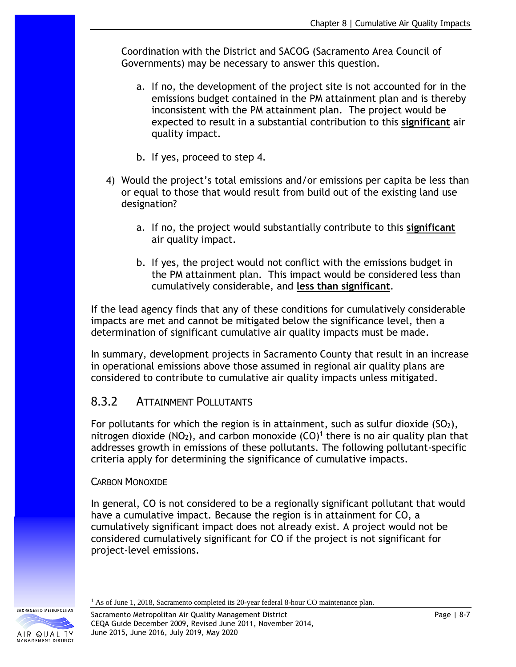Coordination with the District and SACOG (Sacramento Area Council of Governments) may be necessary to answer this question.

- a. If no, the development of the project site is not accounted for in the emissions budget contained in the PM attainment plan and is thereby inconsistent with the PM attainment plan. The project would be expected to result in a substantial contribution to this **significant** air quality impact.
- b. If yes, proceed to step 4.
- 4) Would the project's total emissions and/or emissions per capita be less than or equal to those that would result from build out of the existing land use designation?
	- a. If no, the project would substantially contribute to this **significant** air quality impact.
	- b. If yes, the project would not conflict with the emissions budget in the PM attainment plan. This impact would be considered less than cumulatively considerable, and **less than significant**.

If the lead agency finds that any of these conditions for cumulatively considerable impacts are met and cannot be mitigated below the significance level, then a determination of significant cumulative air quality impacts must be made.

In summary, development projects in Sacramento County that result in an increase in operational emissions above those assumed in regional air quality plans are considered to contribute to cumulative air quality impacts unless mitigated.

### 8.3.2 ATTAINMENT POLLUTANTS

For pollutants for which the region is in attainment, such as sulfur dioxide (SO<sub>2</sub>), nitrogen dioxide (NO<sub>2</sub>), and carbon monoxide  $(CO)^1$  there is no air quality plan that addresses growth in emissions of these pollutants. The following pollutant-specific criteria apply for determining the significance of cumulative impacts.

#### CARBON MONOXIDE

In general, CO is not considered to be a regionally significant pollutant that would have a cumulative impact. Because the region is in attainment for CO, a cumulatively significant impact does not already exist. A project would not be considered cumulatively significant for CO if the project is not significant for project-level emissions.

Sacramento Metropolitan Air Quality Management District National Communication of Page | 8-7 CEQA Guide December 2009, Revised June 2011, November 2014, June 2015, June 2016, July 2019, May 2020

SACRAMENTO METROPOLITAN

<sup>&</sup>lt;sup>1</sup> As of June 1, 2018, Sacramento completed its 20-year federal 8-hour CO maintenance plan.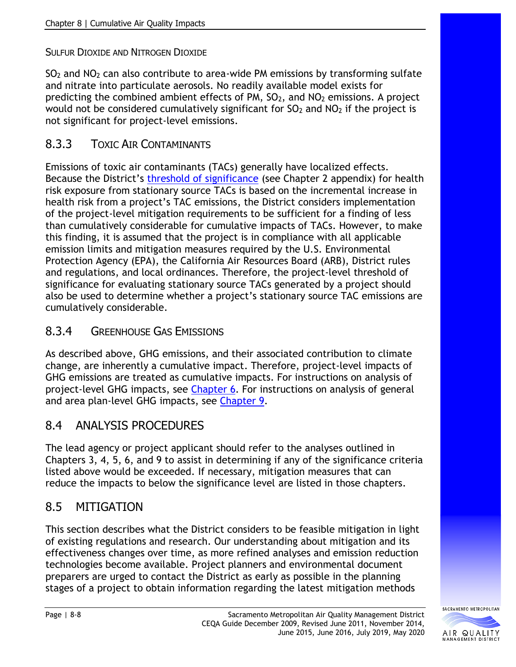### SULFUR DIOXIDE AND NITROGEN DIOXIDE

SO<sup>2</sup> and NO<sup>2</sup> can also contribute to area-wide PM emissions by transforming sulfate and nitrate into particulate aerosols. No readily available model exists for predicting the combined ambient effects of PM,  $SO<sub>2</sub>$ , and  $NO<sub>2</sub>$  emissions. A project would not be considered cumulatively significant for  $SO<sub>2</sub>$  and  $NO<sub>2</sub>$  if the project is not significant for project-level emissions.

### 8.3.3 TOXIC AIR CONTAMINANTS

Emissions of toxic air contaminants (TACs) generally have localized effects. Because the District's [threshold of significance](http://www.airquality.org/Businesses/CEQA-Land-Use-Planning/CEQA-Guidance-Tools) (see Chapter 2 appendix) for health risk exposure from stationary source TACs is based on the incremental increase in health risk from a project's TAC emissions, the District considers implementation of the project-level mitigation requirements to be sufficient for a finding of less than cumulatively considerable for cumulative impacts of TACs. However, to make this finding, it is assumed that the project is in compliance with all applicable emission limits and mitigation measures required by the U.S. Environmental Protection Agency (EPA), the California Air Resources Board (ARB), District rules and regulations, and local ordinances. Therefore, the project-level threshold of significance for evaluating stationary source TACs generated by a project should also be used to determine whether a project's stationary source TAC emissions are cumulatively considerable.

### 8.3.4 GREENHOUSE GAS EMISSIONS

As described above, GHG emissions, and their associated contribution to climate change, are inherently a cumulative impact. Therefore, project-level impacts of GHG emissions are treated as cumulative impacts. For instructions on analysis of project-level GHG impacts, see [Chapter 6.](http://www.airquality.org/Businesses/CEQA-Land-Use-Planning/CEQA-Guidance-Tools) For instructions on analysis of general and area plan-level GHG impacts, see [Chapter 9.](http://www.airquality.org/Businesses/CEQA-Land-Use-Planning/CEQA-Guidance-Tools)

# 8.4 ANALYSIS PROCEDURES

The lead agency or project applicant should refer to the analyses outlined in Chapters 3, 4, 5, 6, and 9 to assist in determining if any of the significance criteria listed above would be exceeded. If necessary, mitigation measures that can reduce the impacts to below the significance level are listed in those chapters.

# 8.5 MITIGATION

This section describes what the District considers to be feasible mitigation in light of existing regulations and research. Our understanding about mitigation and its effectiveness changes over time, as more refined analyses and emission reduction technologies become available. Project planners and environmental document preparers are urged to contact the District as early as possible in the planning stages of a project to obtain information regarding the latest mitigation methods